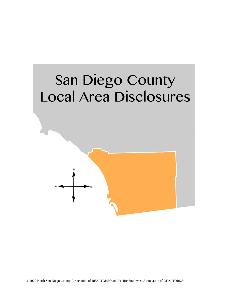# San Diego County Local Area Disclosures

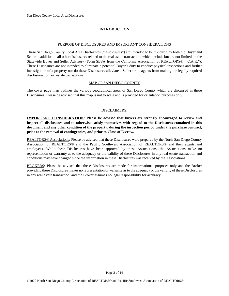# **INTRODUCTION**

#### PURPOSE OF DISCLOSURES AND IMPORTANT CONSIDERATIONS

These San Diego County Local Area Disclosures ("Disclosures") are intended to be reviewed by both the Buyer and Seller in addition to all other disclosures related to the real estate transaction, which include but are not limited to, the Statewide Buyer and Seller Advisory (Form SBSA from the California Association of REALTORS® ("C.A.R."). These Disclosures are not intended to eliminate a potential Buyer's duty to conduct physical inspections and further investigation of a property nor do these Disclosures alleviate a Seller or its agents from making the legally required disclosures for real estate transactions.

## MAP OF SAN DIEGO COUNTY

The cover page map outlines the various geographical areas of San Diego County which are discussed in these Disclosures. Please be advised that this map is not to scale and is provided for orientation purposes only.

## DISCLAIMERS:

**IMPORTANT CONSIDERATION: Please be advised that buyers are strongly encouraged to review and inspect all disclosures and to otherwise satisfy themselves with regard to the Disclosures contained in this document and any other condition of the property, during the inspection period under the purchase contract, prior to the removal of contingencies, and prior to Close of Escrow.** 

REALTORS® Associations: Please be advised that these Disclosures were prepared by the North San Diego County Association of REALTORS® and the Pacific Southwest Association of REALTORS® and their agents and employees. While these Disclosures have been approved by these Associations, the Associations make no representation or warranty as to the adequacy or the validity of these Disclosures in any real estate transaction and conditions may have changed since the information in these Disclosures was received by the Associations.

BROKERS: Please be advised that these Disclosures are made for informational purposes only and the Broker providing these Disclosures makes no representation or warranty as to the adequacy or the validity of these Disclosures in any real estate transaction, and the Broker assumes no legal responsibility for accuracy.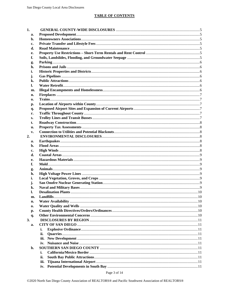| 1.       |      |  |
|----------|------|--|
| a.       |      |  |
| b.       |      |  |
| c.       |      |  |
| d.       |      |  |
| e.       |      |  |
| f.       |      |  |
| g.       |      |  |
| h.       |      |  |
| i.       |      |  |
| j.       |      |  |
| k.       |      |  |
| l.       |      |  |
| m.       |      |  |
| n.       |      |  |
| 0.       |      |  |
| p.       |      |  |
| q.       |      |  |
| r.       |      |  |
| s.       |      |  |
| t.       |      |  |
| u.       |      |  |
| v.       |      |  |
| 2.       |      |  |
| a.       |      |  |
| b.       |      |  |
| c.       |      |  |
| d.       |      |  |
| е.       |      |  |
| f.       |      |  |
|          |      |  |
| g.<br>h. |      |  |
| i.       |      |  |
| j.       |      |  |
| k.       |      |  |
| 1.       |      |  |
|          |      |  |
| m.       |      |  |
| n.       |      |  |
| 0.       |      |  |
| р.       |      |  |
| q.<br>3. |      |  |
|          |      |  |
| a.       |      |  |
|          | i.   |  |
|          | ii.  |  |
|          | iii. |  |
|          | iv.  |  |
| b.       |      |  |
|          | i.   |  |
|          | ii.  |  |
|          | iii. |  |
|          |      |  |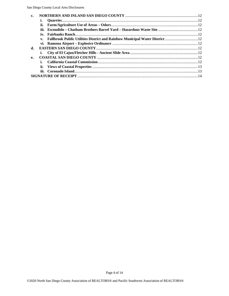| v. Fallbrook Public Utilities District and Rainbow Municipal Water District 12 |
|--------------------------------------------------------------------------------|
|                                                                                |
|                                                                                |
|                                                                                |
|                                                                                |
|                                                                                |
|                                                                                |
|                                                                                |
|                                                                                |
|                                                                                |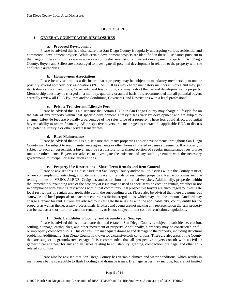# **DISCLOSURES**

## <span id="page-4-0"></span>**1. GENERAL COUNTY-WIDE DISCLOSURES**

## **a. Proposed Development**

<span id="page-4-1"></span>Please be advised this is a disclosure that San Diego County is regularly undergoing various residential and commercial development projects. While certain development projects are identified in these Disclosures pursuant to their region, these disclosures are in no way a comprehensive list of all current development projects in San Diego County. Buyers and Sellers are encouraged to investigate all potential development in relation to the property with the applicable authorities.

## **b. Homeowners Associations**

<span id="page-4-2"></span>Please be advised this is a disclosure that a property may be subject to mandatory membership to one or possibly several homeowners' associations ("HOAs"). HOAs may charge mandatory membership dues and may, per its By-laws and/or Conditions, Covenants, and Restrictions, and may restrict the use and development of a property. Membership dues may be charged on a monthly, quarterly or annual basis. It is recommended that all potential buyers carefully review all HOA By-laws and/or Conditions, Covenants, and Restrictions with a legal professional.

## **c. Private Transfer and Lifestyle Fees**

<span id="page-4-3"></span>Please be advised this is a disclosure that certain HOAs in San Diego County may charge a lifestyle fee on the sale of any property within that specific development. Lifestyle fees vary by development and are subject to change. Lifestyle fees are typically a percentage of the sales price of a property. These fees could affect a potential buyer's ability to obtain financing. All prospective buyers are encouraged to contact the applicable HOA to discuss any potential lifestyle or other private transfer fees.

## **d. Road Maintenance**

<span id="page-4-4"></span>Please be advised that this is a disclosure that many properties and/or developments throughout San Diego County may be subject to road maintenance agreements or other forms of shared expense agreements. If a property is subject to such an agreement, a buyer may be responsible for a shared portion of regular maintenance fees private roads or other items. Buyers are advised to investigate the existence of any such agreement with the necessary government, municipal, or association entities.

## **e. Property Use Restrictions – Short-Term Rentals and Rent Control**

<span id="page-4-5"></span>Please be advised this is a disclosure that San Diego County and/or multiple cities within the County restrict, or are contemplating restricting, short-term and vacation rentals of residential properties. Restrictions may include renting homes on VBRO, AirBNB, Craigslist, and other short-term rental websites. Additionally, properties within the immediate surrounding area of the property at issue may be used as short-term or vacation rentals, whether or not in compliance with existing restrictions within that community. All prospective buyers are encouraged to investigate local restrictions on rentals and applicable use in the surrounding area. Please also be advised that there are numerous statewide and local proposals to enact rent control restrictions/regulations, which may limit the amount a landlord may charge a tenant for rent. Buyers are advised to investigate these issues with the applicable city, county entity for the property as well as the necessary professionals. Brokers and agents are not making any representation that any property can be used as a short-term or vacation rental or is, or is not, subject to rent control restrictions/regulations.

## **f. Soils, Landslides, Flooding, and Groundwater Seepage**

<span id="page-4-6"></span>Please be advised this is a disclosure that real estate in San Diego County is subject to subsidence, erosion, settling, slippage, earthquakes, and other movement of property. Additionally, a property may be constructed on fill or improperly compacted soils. This can result in inadequate drainage and damage to the property, including structural problems. Additionally, San Diego County is known for expansive soils conditions. There are also areas of the County that are subject to groundwater seepage. It is recommended that all prospective buyers consult with a civil or geotechnical engineer for any and all issues relating to soil stability, grading, compaction, drainage, and other soilrelated conditions.

Please also be advised that San Diego County has variable climate and water conditions, which results in many areas being susceptible to flash flooding and drainage issues. Drainage issues may include, but are not limited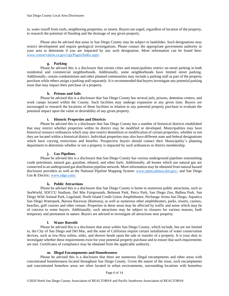to, water runoff from roofs, neighboring properties, or streets. Buyers are urged, regardless of location of the property, to research the potential of flooding and the drainage of any given property.

Please also be advised that areas in San Diego County may be subject to landslides. Such designations may restrict development and require geological investigations. Please contact the appropriate government authority in your area to determine if you are impacted by any such designation. More information can be found here: [www.conservation.ca.gov/cgs/Pages/Index.aspx.](http://www.conservation.ca.gov/cgs/Pages/Index.aspx)

#### **g. Parking**

<span id="page-5-0"></span>Please be advised this is a disclosure that certain cities and municipalities restrict on-street parking in both residential and commercial neighborhoods. Additionally, some neighborhoods have limited street parking. Additionally, certain condominium and other planned communities may include a parking stall as part of the property purchase while others assign a parking stall separately. It is recommended that buyers investigate any potential parking issue that may impact their purchase of a property.

## **h. Prisons and Jails**

<span id="page-5-1"></span>Please be advised this is a disclosure that San Diego County has several jails, prisons, detention centers, and work camps located within the County. Such facilities may undergo expansion at any given time. Buyers are encouraged to research the locations of these facilities in relation to any potential property purchase to evaluate the potential impact upon the value or desirability of any given property.

## **i. Historic Properties and Districts**

<span id="page-5-2"></span>Please be advised this is a disclosure that San Diego County has a number of historical districts established that may restrict whether properties within its district may be modified or developed. Municipalities may have historical resource ordinances which may also restrict demolition or modification of certain properties, whether or not they are located within a historical district. Individual properties may also have different state and federal designations which have varying restrictions and benefits. Prospective buyers should contact their Municipality's planning department to determine whether or not a property is impacted by such ordinances or district membership.

## **j. Gas Pipelines**

<span id="page-5-3"></span>Please be advised this is a disclosure that San Diego County has various underground pipelines transmitting crude petroleum, natural gas, gasoline, ethanol, and other fuels. Additionally, all homes which use natural gas are connected to an underground gas distribution pipeline network. More information may be obtained from natural hazard disclosure providers as well as the National Pipeline Mapping System: [www.npms.phmsa.dot.gov/,](http://www.npms.phmsa.dot.gov/) and San Diego Gas & Electric[: www.sdge.com/.](http://www.sdge.com/)

#### **k. Public Attractions**

<span id="page-5-4"></span>Please be advised this is a disclosure that San Diego County is home to numerous public attractions, such as SeaWorld, SDCCU Stadium, Del Mar Fairgrounds, Belmont Park, Petco Park, San Diego Zoo, Balboa Park, San Diego Wild Animal Park, Legoland, North Island Credit Union Amphitheatre, Pechanga Arena San Diego, Aquatica San Diego Waterpark, Barona Raceway (Ramona), as well as numerous other amphitheaters, parks, resorts, casinos, beaches, golf courses and other venues. Properties in these areas may be affected by traffic and noise which may be of concern to some buyers. Additionally, such attractions may be subject to closures for various reasons, both temporary and permanent in nature. Buyers are advised to investigate all attractions near property.

#### **l. Water Retrofit**

<span id="page-5-5"></span>Please be advised this is a disclosure that areas within San Diego County, which include, but are not limited to, the City of San Diego and Del Mar, and the state of California require certain installations of water conservation devices, such as low-flow toilets, sinks, and shower heads upon the sale or transfer of a property. It is your duty to investigate whether these requirements exist for your potential property purchase and to ensure that such requirements are met. Certificates of compliance may be obtained from the applicable authority.

## **m. Illegal Encampments and Homelessness**

<span id="page-5-6"></span>Please be advised this is a disclosure that there are numerous illegal encampments and other areas with concentrated homelessness located throughout San Diego County. Given the nature of the issue, such encampments and concentrated homeless areas are often located in urban environments, surrounding locations with homeless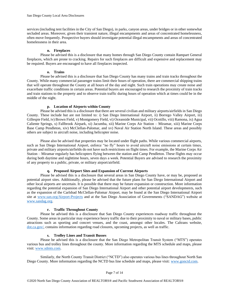services (including tent facilities in the City of San Diego), in parks, canyon areas, under bridges or in other somewhat secluded areas. Moreover, given their transient nature, illegal encampments and areas of concentrated homelessness, often move frequently. Prospective buyers should investigate potential illegal encampments and areas of concentrated homelessness in their area.

#### **n. Fireplaces**

<span id="page-6-0"></span>Please be advised this is a disclosure that many homes through San Diego County contain Rampart General fireplaces, which are prone to cracking. Repairs for such fireplaces are difficult and expensive and replacement may be required. Buyers are encouraged to have all fireplaces inspected.

## **o. Trains**

<span id="page-6-1"></span>Please be advised this is a disclosure that San Diego County has many trains and train tracks throughout the County. While many commercial passenger trains limit their hours of operation, there are commercial shipping trains that will operate throughout the County at all hours of the day and night. Such train operations may create noise and exacerbate traffic conditions in certain areas. Potential buyers are encouraged to research the proximity of train tracks and train stations to the property and to observe train traffic during hours of operation which at times could be in the middle of the night.

# **p. Location of Airports within County**

<span id="page-6-2"></span>Please be advised this is a disclosure that there are several civilian and military airports/airfields in San Diego County. These include but are not limited to: i) San Diego International Airport, ii) Borrego Valley Airport, iii) Gillespie Field, iv) Brown Field, v) Montgomery Field, vi) Oceanside Municipal, vii) Ocotillo, viii) Ramona, ix) Agua Caliente Springs, x) Fallbrook Airpark, xi) Jacumba, xii) Marine Corps Air Station – Miramar, xiii) Marine Corps Base Camp Pendleton, xiv) McClellan-Palomar, and xv) Naval Air Station North Island. These areas and possibly others are subject to aircraft noise, including helicopter noise.

Please also be advised that properties may be located under flight paths. While various commercial airports, such as San Diego International Airport, enforce "no fly" hours to avoid aircraft noise emissions at certain times, private and military airports/airfields do not have such restrictions on flight times. For example, the Marine Corps Air Station – Miramar regularly has helicopters flying between the station and Camp Pendleton. These flights may occur during both daytime and nighttime hours, seven days a week. Potential Buyers are advised to research the proximity of any property to a public, private, or military airport/airfield.

## **q. Proposed Airport Sites and Expansion of Current Airports**

<span id="page-6-3"></span>Please be advised this is a disclosure that several areas in San Diego County have, or may be, proposed as potential airport sites. Additionally, please be advised that the future plans for San Diego International Airport and other local airports are uncertain. It is possible that there may be future expansion or construction. More information regarding the potential expansion of San Diego International Airport and other potential airport developments, such as the expansion of the Carlsbad McClellan-Palomar Airport, may be found at the San Diego International Airport site at [www.san.org/Airport-Projects](http://www.san.org/Airport-Projects) and at the San Diego Association of Governments ("SANDAG") website at [www.sandag.org.](http://www.sandag.org/)

## **r. Traffic Throughout County**

<span id="page-6-4"></span>Please be advised this is a disclosure that San Diego County experiences roadway traffic throughout the County. Some areas in particular may experience heavy traffic due to their proximity to naval or military bases, public attractions such as sporting and concert venues, and the coast, amongst other locales. The Caltrans website, [dot.ca.gov/,](https://dot.ca.gov/) contains information regarding road closures, upcoming projects, as well as traffic.

#### **s. Trolley Lines and Transit Busses**

<span id="page-6-5"></span>Please be advised this is a disclosure that the San Diego Metropolitan Transit System ("MTS") operates various bus and trolley lines throughout the county. More information regarding the MTS schedule and maps, please visit: [www.sdmts.com.](http://www.sdmts.com/)

Similarly, the North County Transit District ("NCTD") also operates various bus lines throughout North San Diego County. More information regarding the NCTD bus line schedule and maps, please visit: [www.gonctd.com.](http://www.gonctd.com/)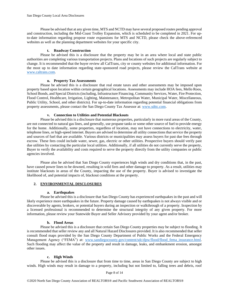Please be advised that at any given time, MTS and NCTD may have several proposed routes pending approval and construction, including the Mid-Coast Trolley Expansion, which is scheduled to be completed in 2021. For upto-date information regarding propose route expansions for MTS and NCTD, please check the above-referenced websites as well as the planning department websites for your specific city.

## **t. Roadway Construction**

<span id="page-7-0"></span>Please be advised this is a disclosure that the property may be in an area where local and state public authorities are completing various transportation projects. Plans and locations of such projects are regularly subject to change. It is recommended that the buyer review all CalTrans, city or county websites for additional information. For the most up to date information regarding state-sponsored road projects, please review the CalTrans website at [www.caltrans.com.](http://www.caltrans.com/)

## **u. Property Tax Assessments**

<span id="page-7-1"></span>Please be advised this is a disclosure that real estate taxes and other assessments may be imposed upon property based upon location within certain geographical locations. Assessments may include HOA fees, Mello Roos, School Bonds, and Special Districts (including, Infrastructure Financing, Community Services, Water, Fire Protection, Flood Control, Healthcare, Irrigation, Lighting, Maintenance, Metropolitan Water, Municipal Water, Miscellaneous, Public Utility, School, and other districts). For up-to-date information regarding potential financial obligations from property assessments, please contact the San Diego County Tax Assessor at: [www.sdttc.com.](http://www.sdttc.com/)

## **v. Connection to Utilities and Potential Blackouts**

<span id="page-7-2"></span>Please be advised this is a disclosure that numerous properties, particularly in more rural areas of the County, are not connected to natural gas lines, and generally, use propane tanks or some other source of fuel to provide energy for the home. Additionally, some properties, regardless of location, may not have connections to electricity, water, telephone lines, or high-speed internet. Buyers are advised to determine all utility connections that service the property and sources of fuel that are available. Various districts or municipalities may assess buyers for past due fees through escrow. These fees could include water, sewer, gas, electric or other utilities. Prospective buyers should verify past due utilities by contacting the particular local utilities. Additionally, if all utilities do not currently serve the property, Buyer to verify the availability and costs required to serve the property directly from the utility companies or public agencies involved.

Please also be advised that San Diego County experiences high winds and dry conditions that, in the past, have caused power lines to be downed, resulting in wild fires and other damage to property. As a result, utilities may institute blackouts in areas of the County, impacting the use of the property. Buyer is advised to investigate the likelihood of, and potential impacts of, blackout conditions at the property.

## <span id="page-7-3"></span>**2. ENVIRONMENTAL DISCLOSURES**

#### **a. Earthquakes**

<span id="page-7-4"></span>Please be advised this is a disclosure that San Diego County has experienced earthquakes in the past and will likely experience more earthquakes in the future. Property damage caused by earthquakes is not always visible and or discoverable by agents, brokers, or potential buyers during an inspection or walkthrough of a property. Inspection by a licensed professional is recommended to determine the structural integrity of any given property. For more information, please review your Statewide Buyer and Seller Advisory provided by your agent and/or broker.

#### **b. Flood Areas**

<span id="page-7-5"></span>Please be advised this is a disclosure that certain San Diego County properties may be subject to flooding. It is recommended that seller review any and all Natural Hazard Disclosures provided. It is also recommended that seller consult flood maps provided by the San Diego County Department of Public Works and the Federal Emergency Management Agency ("FEMA") at: www.sandiegocounty.gov/content/sdc/dpw/flood/flood fema\_insurance.html. Such flooding may affect the value of the property and result in damage, leaks, and embankment erosion, amongst other issues.

#### **c. High Winds**

<span id="page-7-6"></span>Please be advised this is a disclosure that from time to time, areas in San Diego County are subject to high winds. High winds may result in damage to a property, including but not limited to, falling trees and debris, roof

Page 8 of 14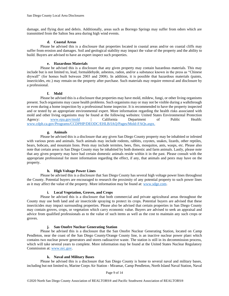damage, and flying dust and debris. Additionally, areas such as Borrego Springs may suffer from odors which are transmitted from the Salton Sea area during high wind events.

## **d. Coastal Areas**

<span id="page-8-0"></span>Please be advised this is a disclosure that properties located in coastal areas and/or on coastal cliffs may suffer from erosion and damages. Soil and geological stability may impact the value of the property and the ability to build. Buyers are advised to have an expert inspect such properties.

## **e. Hazardous Materials**

<span id="page-8-1"></span>Please be advised this is a disclosure that any given property may contain hazardous materials. This may include but is not limited to, lead, formaldehyde, asbestos, radon, and/or a substance known in the press as "Chinese drywall" (for homes built between 2003 and 2008). In addition, it is possible that hazardous materials (paints, insecticides, etc.) may remain on the property after purchase. Such materials may require removal and disclosure by a professional.

## **f. Mold**

<span id="page-8-2"></span>Please be advised this is a disclosure that properties may have mold, mildew, fungi, or other living organisms present. Such organisms may cause health problems. Such organisms may or may not be visible during a walkthrough or even during a home inspection by a professional home inspector. It is recommended to have the property inspected and or tested by an appropriate environmental expert. More information regarding the health risks associated with mold and other living organisms may be found at the following websites: United States Environmental Protection Agency: [www.epa.gov/mold](http://www.epa.gov/mold) | California Department of Public Health: [www.cdph.ca.gov/Programs/CCDPHP/DEODC/EHLB/IAQ/Pages/Mold-FAQs.aspx.](http://www.cdph.ca.gov/Programs/CCDPHP/DEODC/EHLB/IAQ/Pages/Mold-FAQs.aspx)

## **g. Animals**

<span id="page-8-3"></span>Please be advised this is a disclosure that any given San Diego County property may be inhabited or infested with various pests and animals. Such animals may include rodents, rabbits, coyotes, snakes, lizards, other reptiles, bears, bobcats, and mountain lions. Pests may include termites, bees, flies, mosquitos, ants, wasps, etc. Please also note that certain areas in San Diego County may be inhabited by both domestic and farm animals. Lastly, please note that any given property may have had certain domestic animals reside within it in the past. Please consult with the appropriate professional for more information regarding the effect, if any, that animals and pests may have on the property.

## **h. High Voltage Power Lines**

<span id="page-8-4"></span>Please be advised this is a disclosure that San Diego County has several high voltage power lines throughout the County. Potential buyers are encouraged to research the proximity of any potential property to such power lines as it may affect the value of the property. More information may be found at: [www.sdge.com.](http://www.sdge.com/)

## **i. Local Vegetation, Groves, and Crops**

<span id="page-8-5"></span>Please be advised this is a disclosure that both commercial and private agricultural areas throughout the County may use both land and air insecticide spraying to protect its crops. Potential buyers are advised that these insecticides may impact surrounding properties. Please also be advised that certain properties in San Diego County may contain groves, crops, or vegetation which carry economic value. Buyers are advised to seek an appraisal and advice from qualified professionals as to the value of such items as well as the cost to maintain any such crops or groves.

## **j. San Onofre Nuclear Generating Station**

<span id="page-8-6"></span>Please be advised this is a disclosure that the San Onofre Nuclear Generating Station, located on Camp Pendleton, near the coast of the San Diego County/Orange County line, is an inactive nuclear power plant which contains two nuclear power generators and stores radioactive waste. The station is still in its decommission process, which will take several years to complete. More information may be found at the United States Nuclear Regulatory Commission at: [www.nrc.gov.](http://www.nrc.gov/)

## **k. Naval and Military Bases**

<span id="page-8-7"></span>Please be advised this is a disclosure that San Diego County is home to several naval and military bases, including but not limited to, Marine Corps Air Station - Miramar, Camp Pendleton, North Island Naval Station, Naval

Page 9 of 14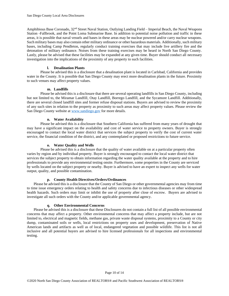Amphibious Base Coronado, 32nd Street Naval Station, Outlying Landing Field – Imperial Beach, the Naval Weapons Station -Fallbrook, and the Point Loma Submarine Base. In addition to potential noise pollution and traffic in these areas, it is possible that naval vessels and bases in these areas may be nuclear powered and/or carry nuclear weapons. Such military bases may also contain other military ordinance or other hazardous materials. Additionally, such military bases, including Camp Pendleton, regularly conduct training exercises that may include live artillery fire and the detonation of military ordinance. Noises from these training exercises may be heard in North San Diego County. Lastly, please be advised that these facilities may be expanded at any given time. Buyer should conduct all necessary investigation into the implications of the proximity of any property to such facilities.

## **l. Desalination Plants**

<span id="page-9-0"></span>Please be advised this is a disclosure that a desalination plant is located in Carlsbad, California and provides water in the County. It is possible that San Diego County may erect more desalination plants in the future. Proximity to such venues may affect property values.

## **m. Landfills**

<span id="page-9-1"></span>Please be advised this is a disclosure that there are several operating landfills in San Diego County, including but not limited to, the Miramar Landfill, Otay Landfill, Borrego Landfill, and the Sycamore Landfill. Additionally, there are several closed landfill sites and former refuse disposal stations. Buyers are advised to review the proximity of any such sites in relation to the property as proximity to such areas may affect property values. Please review the San Diego County website at [www.sandiego.gov](http://www.sandiego.gov/) for more details.

## **n. Water Availability**

<span id="page-9-2"></span>Please be advised this is a disclosure that Southern California has suffered from many years of drought that may have a significant impact on the availability and cost of water service to property owners. Buyer is strongly encouraged to contact the local water district that services the subject property to verify the cost of current water service, the financial condition of the district, and any contemplated or proposed restrictions to future service.

## **o. Water Quality and Wells**

<span id="page-9-3"></span>Please be advised this is a disclosure that the quality of water available on at a particular property often varies by region and by individual property. Buyer is strongly encouraged to contact the local water district that services the subject property to obtain information regarding the water quality available at the property and to hire professionals to provide any environmental testing onsite. Furthermore, some properties in the County are serviced by wells located on the subject property or nearby. Buyer is advised to have an expert to inspect any wells for water output, quality, and possible contamination.

## **p. County Health Directives/Orders/Ordinances**

<span id="page-9-4"></span>Please be advised this is a disclosure that the County of San Diego or other governmental agencies may from time to time issue emergency orders relating to health and safety concerns due to infectious diseases or other widespread health hazards. Such orders may limit or inhibit the use of property after close of escrow. Buyers are advised to investigate all such orders with the County and/or applicable governmental agency.

#### **q. Other Environmental Concerns**

<span id="page-9-5"></span>Please be advised this is a disclosure that these Disclosures do not contain a full list of all possible environmental concerns that may affect a property. Other environmental concerns that may affect a property include, but are not limited to, electrical and magnetic fields, methane gas, private waste disposal systems, proximity to a County or city dump, contaminated soils or wells, local restrictions on property uses and development, preservation of Native American lands and artifacts as well as of local, endangered vegetation and possible wildlife. This list is not all inclusive and all potential buyers are advised to hire licensed professionals for all inspections and environmental testing.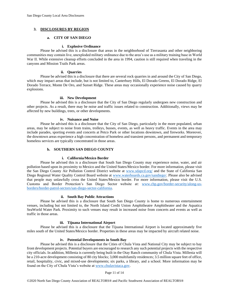# <span id="page-10-1"></span><span id="page-10-0"></span>**3. DISCLOSURES BY REGION**

#### **a. CITY OF SAN DIEGO**

## **i. Explosive Ordinance**

<span id="page-10-2"></span>Please be advised this is a disclosure that areas in the neighborhood of Tierrasanta and other neighboring communities may contain live, unexploded military ordinance due to the area's use as a military training base in World War II. While extensive cleanup efforts concluded in the area in 1994, caution is still required when traveling in the canyons and Mission Trails Park areas.

## **ii. Quarries**

<span id="page-10-3"></span>Please be advised this is a disclosure that there are several rock quarries in and around the City of San Diego, which may impact areas that include, but is not limited to, Canterbury Hills, El Dorado Greens, El Dorado Ridge, El Dorado Terrace, Monte De Oro, and Sunset Ridge. These areas may occasionally experience noise caused by quarry explosions.

## **iii. New Development**

<span id="page-10-4"></span>Please be advised this is a disclosure that the City of San Diego regularly undergoes new construction and other projects. As a result, there may be noise and traffic issues related to construction. Additionally, views may be affected by new buildings, trees, or other developments.

## **iv. Nuisance and Noise**

<span id="page-10-5"></span>Please be advised this is a disclosure that the City of San Diego, particularly in the more populated, urban areas, may be subject to noise from trains, trolleys, busses, events, as well as heavy traffic. Events in the area may include parades, sporting events and concerts at Petco Park or other locations downtown, and fireworks. Moreover, the downtown areas experience a high concentration of homeless and transient persons, and permanent and temporary homeless services are typically concentrated in those areas.

## **b. SOUTHERN SAN DIEGO COUNTY**

#### **i. California/Mexico Border**

<span id="page-10-7"></span><span id="page-10-6"></span>Please be advised this is a disclosure that South San Diego County may experience noise, water, and air pollution based upon its proximity to Mexico and the United States/Mexico border. For more information, please visit the San Diego County Air Pollution Control District website at [www.sdapcd.org/](http://www.sdapcd.org/) and the State of California San Diego Regional Water Quality Control Board website at [www.waterboards.ca.gov/sandiego/.](http://www.waterboards.ca.gov/sandiego/) Please also be advised that people may unlawfully cross the United States/Mexico border. For more information, please visit the U.S. Customs and Border Protection's San Diego Sector website at: [www.cbp.gov/border-security/along-us](http://www.cbp.gov/border-security/along-us-borders/border-patrol-sectors/san-diego-sector-california)[borders/border-patrol-sectors/san-diego-sector-california.](http://www.cbp.gov/border-security/along-us-borders/border-patrol-sectors/san-diego-sector-california)

#### **ii. South Bay Public Attractions**

<span id="page-10-8"></span>Please be advised this is a disclosure that South San Diego County is home to numerous entertainment venues, including but not limited to, the North Island Credit Union Amphitheatre Amphitheater and the Aquatica SeaWorld Water Park. Proximity to such venues may result in increased noise from concerts and events as well as traffic in those areas.

#### **iii. Tijuana International Airport**

<span id="page-10-9"></span>Please be advised this is a disclosure that the Tijuana International Airport is located approximately five miles south of the United States/Mexico border. Properties in these areas may be impacted by aircraft related noise.

## **iv. Potential Developments in South Bay**

<span id="page-10-10"></span>Please be advised this is a disclosure that the Cities of Chula Vista and National City may be subject to bay front development projects. Potential buyers are encouraged to research any such potential projects with the respective city officials. In addition, Millenia is currently being built in the Otay Ranch community of Chula Vista. Millenia will be a 210-acre development consisting of 80 city blocks; 3,000 multifamily residences; 3.5 million square feet of office, retail, hospitality, civic, and mixed-use developments; six parks, a library, and a school. More information may be found on the City of Chula Vista's website at [www.chulavistaca.gov.](http://www.chulavistaca.gov/)

Page 11 of 14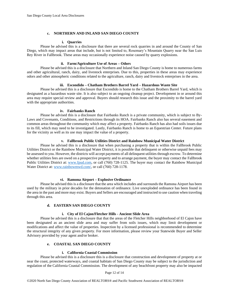#### **c. NORTHERN AND INLAND SAN DIEGO COUNTY**

#### **i. Quarries**

<span id="page-11-1"></span><span id="page-11-0"></span>Please be advised this is a disclosure that there are several rock quarries in and around the County of San Diego, which may impact areas that include, but is not limited to, Rosemary's Mountain Quarry near the San Luis Rey River in Fallbrook. These areas may occasionally experience noise caused by quarry explosions.

#### **ii. Farm/Agriculture Use of Areas – Odors**

<span id="page-11-2"></span>Please be advised this is a disclosure that Northern and Inland San Diego County is home to numerous farms and other agricultural, ranch, dairy, and livestock enterprises. Due to this, properties in these areas may experience odors and other atmospheric conditions related to the agriculture, ranch, dairy and livestock enterprises in the area.

## **iii. Escondido – Chatham Brothers Barrel Yard – Hazardous Waste Site**

<span id="page-11-3"></span>Please be advised this is a disclosure that Escondido is home to the Chatham Brothers Barrel Yard, which is designated as a hazardous waste site. It is also subject to an ongoing cleanup project. Development in or around this area may require special review and approval. Buyers should research this issue and the proximity to the barrel yard with the appropriate authorities.

## **iv. Fairbanks Ranch**

<span id="page-11-4"></span>Please be advised this is a disclosure that Fairbanks Ranch is a private community, which is subject to By-Laws and Covenants, Conditions, and Restrictions through its HOA. Fairbanks Ranch also has several easement and common areas throughout the community which may affect a property. Fairbanks Ranch has also had soils issues due to its fill, which may need to be investigated. Lastly, Fairbanks Ranch is home to an Equestrian Center. Future plans for the vicinity as well as its use may impact the value of a property.

#### **v. Fallbrook Public Utilities District and Rainbow Municipal Water District**

<span id="page-11-5"></span>Please be advised this is a disclosure that when purchasing a property that is within the Fallbrook Public Utilities District or the Rainbow Municipal Water District, it is possible that delinquent or otherwise unpaid fees may be assessed to you. However, the districts will accept payments of all delinquent utilities through escrow. To determine whether utilities fees are owed on a prospective property and to arrange payment, the buyer may contact the Fallbrook Public Utilities District at: [www.fpud.com,](http://www.fpud.com/) or call (760) 728-1125. The buyer may contact the Rainbow Municipal Water District at: [www.rainbowmwd.com/,](http://www.rainbowmwd.com/) or call (760) 728-1178.

#### **vi. Ramona Airport – Explosive Ordinance**

<span id="page-11-6"></span>Please be advised this is a disclosure that the area which includes and surrounds the Ramona Airport has been used by the military in prior decades for the detonation of ordinance. Live unexploded ordinance has been found in the area in the past and more may exist. Buyers and Sellers are encouraged and instructed to use caution when traveling through this area.

## **d. EASTERN SAN DIEGO COUNTY**

#### **i. City of El Cajon/Fletcher Hills - Ancient Slide Area**

<span id="page-11-8"></span><span id="page-11-7"></span>Please be advised this is a disclosure that that the areas of the Fletcher Hills neighborhood of El Cajon have been designated as an ancient slide area and may suffer from soils issues, which may limit development or modifications and affect the value of properties. Inspection by a licensed professional is recommended to determine the structural integrity of any given property. For more information, please review your Statewide Buyer and Seller Advisory provided by your agent and/or broker.

## **e. COASTAL SAN DIEGO COUNTY**

## **i. California Coastal Commission**

<span id="page-11-10"></span><span id="page-11-9"></span>Please be advised this is a disclosure this is a disclosure that construction and development of property at or near the coast, protected waterways, and coastal habitats of San Diego County may be subject to the jurisdiction and regulation of the California Coastal Commission. The development of any beachfront property may also be impacted

## Page 12 of 14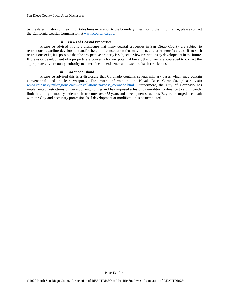by the determination of mean high tides lines in relation to the boundary lines. For further information, please contact the California Coastal Commission at [www.coastal.ca.gov.](http://www.coastal.ca.gov/)

## **ii. Views of Coastal Properties**

<span id="page-12-0"></span>Please be advised this is a disclosure that many coastal properties in San Diego County are subject to restrictions regarding development and/or height of construction that may impact other property's views. If no such restrictions exist, it is possible that the prospective property is subject to view restrictions by development in the future. If views or development of a property are concerns for any potential buyer, that buyer is encouraged to contact the appropriate city or county authority to determine the existence and extend of such restrictions.

### **iii. Coronado Island**

<span id="page-12-1"></span>Please be advised this is a disclosure that Coronado contains several military bases which may contain conventional and nuclear weapons. For more information on Naval Base Coronado, please visit: [www.cnic.navy.mil/regions/cnrsw/installations/navbase\\_coronado.html.](http://www.cnic.navy.mil/regions/cnrsw/installations/navbase_coronado.html) Furthermore, the City of Coronado has implemented restrictions on development, zoning and has imposed a historic demolition ordinance to significantly limit the ability to modify or demolish structures over 75 years and develop new structures. Buyers are urged to consult with the City and necessary professionals if development or modification is contemplated.